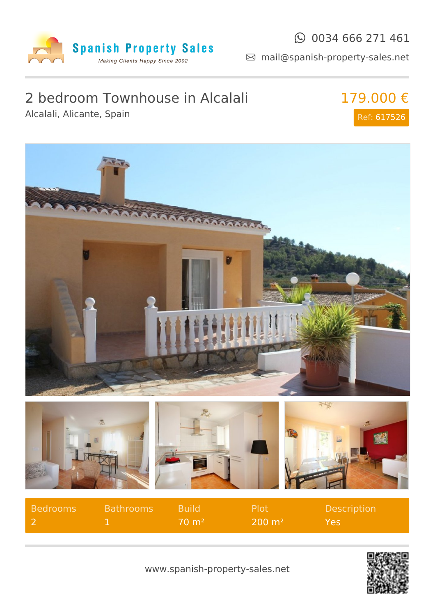

Alcalali, Alicante, Spain

### $\odot$  0034 666 271 461

mail@spanish-property-sales.net

# 2 bedroom Townhouse in Alcalali

179.000 € Ref: 617526



| Bedrooms | <b>Bathrooms</b> | <b>Build</b>         | <b>Plot</b>         | <b>Description</b> |
|----------|------------------|----------------------|---------------------|--------------------|
|          |                  | $70 \; \mathrm{m}^2$ | $200 \; \text{m}^2$ | lYes,              |

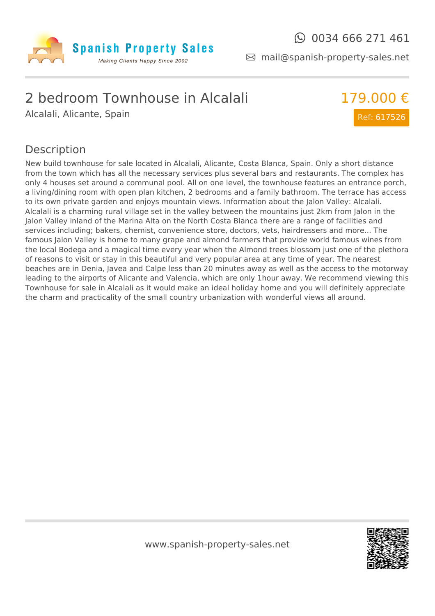

mail@spanish-property-sales.net

### 2 bedroom Townhouse in Alcalali

Alcalali, Alicante, Spain



### Description

New build townhouse for sale located in Alcalali, Alicante, Costa Blanca, Spain. Only a short distance from the town which has all the necessary services plus several bars and restaurants. The complex has only 4 houses set around a communal pool. All on one level, the townhouse features an entrance porch, a living/dining room with open plan kitchen, 2 bedrooms and a family bathroom. The terrace has access to its own private garden and enjoys mountain views. Information about the Jalon Valley: Alcalali. Alcalali is a charming rural village set in the valley between the mountains just 2km from Jalon in the Jalon Valley inland of the Marina Alta on the North Costa Blanca there are a range of facilities and services including; bakers, chemist, convenience store, doctors, vets, hairdressers and more... The famous Jalon Valley is home to many grape and almond farmers that provide world famous wines from the local Bodega and a magical time every year when the Almond trees blossom just one of the plethora of reasons to visit or stay in this beautiful and very popular area at any time of year. The nearest beaches are in Denia, Javea and Calpe less than 20 minutes away as well as the access to the motorway leading to the airports of Alicante and Valencia, which are only 1hour away. We recommend viewing this Townhouse for sale in Alcalali as it would make an ideal holiday home and you will definitely appreciate the charm and practicality of the small country urbanization with wonderful views all around.